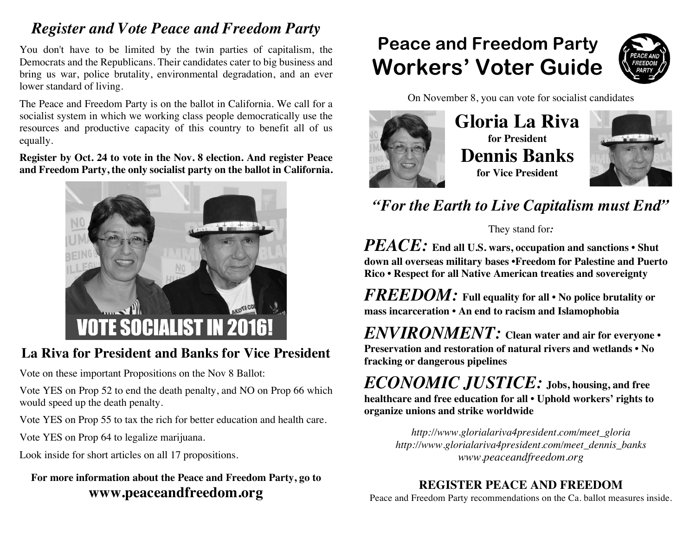## *Register and Vote Peace and Freedom Party*

You don't have to be limited by the twin parties of capitalism, the Democrats and the Republicans. Their candidates cater to big business and bring us war, police brutality, environmental degradation, and an ever lower standard of living.

The Peace and Freedom Party is on the ballot in California. We call for a socialist system in which we working class people democratically use the resources and productive capacity of this country to benefit all of us equally.

**Register by Oct. 24 to vote in the Nov. 8 election. And register Peace and Freedom Party, the only socialist party on the ballot in California.**



### **La Riva for President and Banks for Vice President**

Vote on these important Propositions on the Nov 8 Ballot:

Vote YES on Prop 52 to end the death penalty, and NO on Prop 66 which would speed up the death penalty.

Vote YES on Prop 55 to tax the rich for better education and health care.

Vote YES on Prop 64 to legalize marijuana.

Look inside for short articles on all 17 propositions.

### **For more information about the Peace and Freedom Party, go to www.peaceandfreedom.org**

# **Peace and Freedom Party Workers' Voter Guide**



On November 8, you can vote for socialist candidates



## **Gloria La Riva for President Dennis Banks for Vice President**



*"For the Earth to Live Capitalism must End"*

They stand for*:*

*PEACE:* **End all U.S. wars, occupation and sanctions • Shut down all overseas military bases •Freedom for Palestine and Puerto Rico • Respect for all Native American treaties and sovereignty**

*FREEDOM:* **Full equality for all • No police brutality or mass incarceration • An end to racism and Islamophobia**

*ENVIRONMENT:* **Clean water and air for everyone • Preservation and restoration of natural rivers and wetlands • No fracking or dangerous pipelines**

*ECONOMIC JUSTICE:* **Jobs, housing, and free healthcare and free education for all • Uphold workers' rights to organize unions and strike worldwide**

> *http://www.glorialariva4president.com/meet\_gloria http://www.glorialariva4president.com/meet\_dennis\_banks www.peaceandfreedom.org*

### **REGISTER PEACE AND FREEDOM**

Peace and Freedom Party recommendations on the Ca. ballot measures inside.